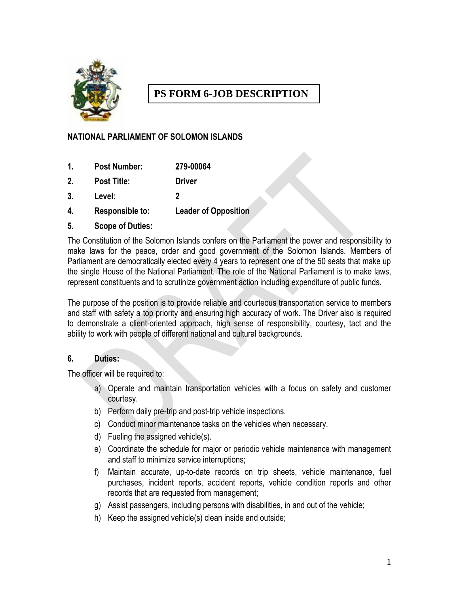

# **PS FORM 6-JOB DESCRIPTION**

## **NATIONAL PARLIAMENT OF SOLOMON ISLANDS**

- **1. Post Number: 279-00064**
- **2. Post Title: Driver**
- **3. Level**: **2**
- **4. Responsible to: Leader of Opposition**
- **5. Scope of Duties:**

The Constitution of the Solomon Islands confers on the Parliament the power and responsibility to make laws for the peace, order and good government of the Solomon Islands. Members of Parliament are democratically elected every 4 years to represent one of the 50 seats that make up the single House of the National Parliament. The role of the National Parliament is to make laws, represent constituents and to scrutinize government action including expenditure of public funds.

The purpose of the position is to provide reliable and courteous transportation service to members and staff with safety a top priority and ensuring high accuracy of work. The Driver also is required to demonstrate a client-oriented approach, high sense of responsibility, courtesy, tact and the ability to work with people of different national and cultural backgrounds.

### **6. Duties:**

The officer will be required to:

- a) Operate and maintain transportation vehicles with a focus on safety and customer courtesy.
- b) Perform daily pre-trip and post-trip vehicle inspections.
- c) Conduct minor maintenance tasks on the vehicles when necessary.
- d) Fueling the assigned vehicle(s).
- e) Coordinate the schedule for major or periodic vehicle maintenance with management and staff to minimize service interruptions;
- f) Maintain accurate, up-to-date records on trip sheets, vehicle maintenance, fuel purchases, incident reports, accident reports, vehicle condition reports and other records that are requested from management;
- g) Assist passengers, including persons with disabilities, in and out of the vehicle;
- h) Keep the assigned vehicle(s) clean inside and outside;